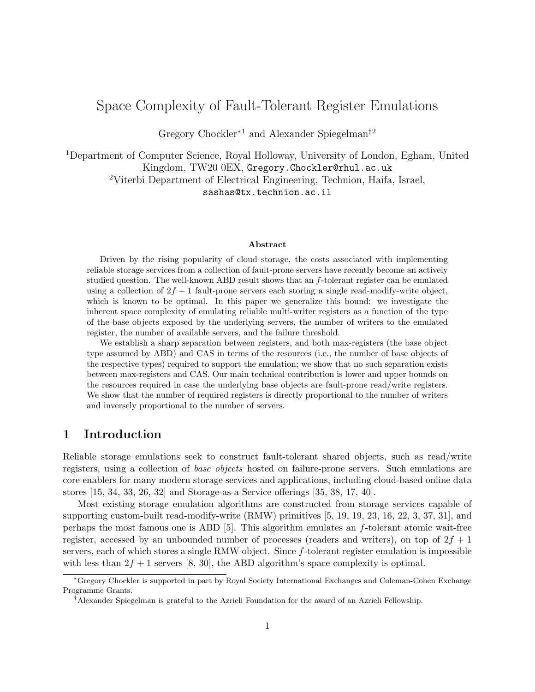# Space Complexity of Fault-Tolerant Register Emulations

Gregory Chockler<sup>∗</sup><sup>1</sup> and Alexander Spiegelman†<sup>2</sup>

<sup>1</sup>Department of Computer Science, Royal Holloway, University of London, Egham, United Kingdom, TW20 0EX, Gregory.Chockler@rhul.ac.uk <sup>2</sup>Viterbi Department of Electrical Engineering, Technion, Haifa, Israel, sashas@tx.technion.ac.il

#### Abstract

Driven by the rising popularity of cloud storage, the costs associated with implementing reliable storage services from a collection of fault-prone servers have recently become an actively studied question. The well-known ABD result shows that an f-tolerant register can be emulated using a collection of  $2f + 1$  fault-prone servers each storing a single read-modify-write object, which is known to be optimal. In this paper we generalize this bound: we investigate the inherent space complexity of emulating reliable multi-writer registers as a function of the type of the base objects exposed by the underlying servers, the number of writers to the emulated register, the number of available servers, and the failure threshold.

We establish a sharp separation between registers, and both max-registers (the base object type assumed by ABD) and CAS in terms of the resources (i.e., the number of base objects of the respective types) required to support the emulation; we show that no such separation exists between max-registers and CAS. Our main technical contribution is lower and upper bounds on the resources required in case the underlying base objects are fault-prone read/write registers. We show that the number of required registers is directly proportional to the number of writers and inversely proportional to the number of servers.

## 1 Introduction

Reliable storage emulations seek to construct fault-tolerant shared objects, such as read/write registers, using a collection of base objects hosted on failure-prone servers. Such emulations are core enablers for many modern storage services and applications, including cloud-based online data stores [15, 34, 33, 26, 32] and Storage-as-a-Service offerings [35, 38, 17, 40].

Most existing storage emulation algorithms are constructed from storage services capable of supporting custom-built read-modify-write (RMW) primitives [5, 19, 19, 23, 16, 22, 3, 37, 31], and perhaps the most famous one is ABD [5]. This algorithm emulates an f-tolerant atomic wait-free register, accessed by an unbounded number of processes (readers and writers), on top of  $2f + 1$ servers, each of which stores a single RMW object. Since f-tolerant register emulation is impossible with less than  $2f + 1$  servers [8, 30], the ABD algorithm's space complexity is optimal.

<sup>∗</sup>Gregory Chockler is supported in part by Royal Society International Exchanges and Coleman-Cohen Exchange Programme Grants.

<sup>†</sup>Alexander Spiegelman is grateful to the Azrieli Foundation for the award of an Azrieli Fellowship.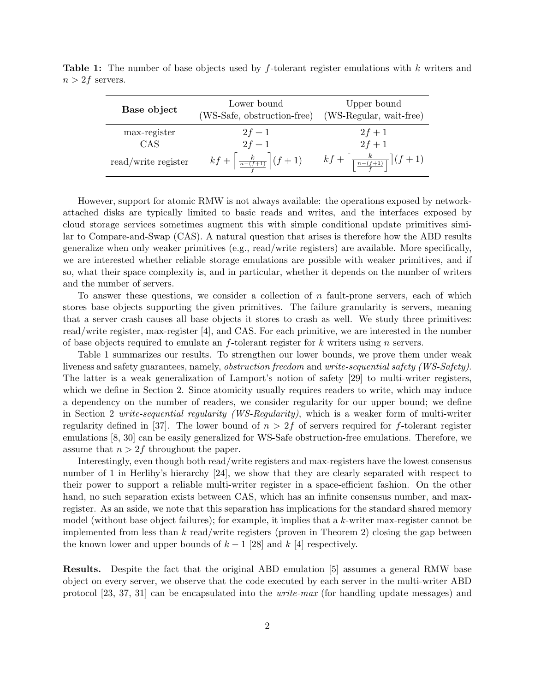| Base object         | Lower bound<br>(WS-Safe, obstruction-free) (WS-Regular, wait-free) | Upper bound                                                                                |  |  |  |
|---------------------|--------------------------------------------------------------------|--------------------------------------------------------------------------------------------|--|--|--|
| max-register<br>CAS | $2f + 1$<br>$2f + 1$                                               | $2f + 1$<br>$2f + 1$                                                                       |  |  |  |
| read/write register | $kf+\left[\frac{k}{\frac{n-(f+1)}{f}}\right](f+1)$                 | $kf + \left\lceil \frac{k}{\left\lceil \frac{n-(f+1)}{f} \right\rceil} \right\rceil (f+1)$ |  |  |  |

**Table 1:** The number of base objects used by f-tolerant register emulations with k writers and  $n > 2f$  servers.

However, support for atomic RMW is not always available: the operations exposed by networkattached disks are typically limited to basic reads and writes, and the interfaces exposed by cloud storage services sometimes augment this with simple conditional update primitives similar to Compare-and-Swap (CAS). A natural question that arises is therefore how the ABD results generalize when only weaker primitives (e.g., read/write registers) are available. More specifically, we are interested whether reliable storage emulations are possible with weaker primitives, and if so, what their space complexity is, and in particular, whether it depends on the number of writers and the number of servers.

To answer these questions, we consider a collection of n fault-prone servers, each of which stores base objects supporting the given primitives. The failure granularity is servers, meaning that a server crash causes all base objects it stores to crash as well. We study three primitives: read/write register, max-register [4], and CAS. For each primitive, we are interested in the number of base objects required to emulate an  $f$ -tolerant register for k writers using n servers.

Table 1 summarizes our results. To strengthen our lower bounds, we prove them under weak liveness and safety guarantees, namely, obstruction freedom and write-sequential safety (WS-Safety). The latter is a weak generalization of Lamport's notion of safety [29] to multi-writer registers, which we define in Section 2. Since atomicity usually requires readers to write, which may induce a dependency on the number of readers, we consider regularity for our upper bound; we define in Section 2 write-sequential regularity (WS-Regularity), which is a weaker form of multi-writer regularity defined in [37]. The lower bound of  $n > 2f$  of servers required for f-tolerant register emulations [8, 30] can be easily generalized for WS-Safe obstruction-free emulations. Therefore, we assume that  $n > 2f$  throughout the paper.

Interestingly, even though both read/write registers and max-registers have the lowest consensus number of 1 in Herlihy's hierarchy [24], we show that they are clearly separated with respect to their power to support a reliable multi-writer register in a space-efficient fashion. On the other hand, no such separation exists between CAS, which has an infinite consensus number, and maxregister. As an aside, we note that this separation has implications for the standard shared memory model (without base object failures); for example, it implies that a k-writer max-register cannot be implemented from less than  $k$  read/write registers (proven in Theorem 2) closing the gap between the known lower and upper bounds of  $k-1$  [28] and k [4] respectively.

Results. Despite the fact that the original ABD emulation [5] assumes a general RMW base object on every server, we observe that the code executed by each server in the multi-writer ABD protocol [23, 37, 31] can be encapsulated into the write-max (for handling update messages) and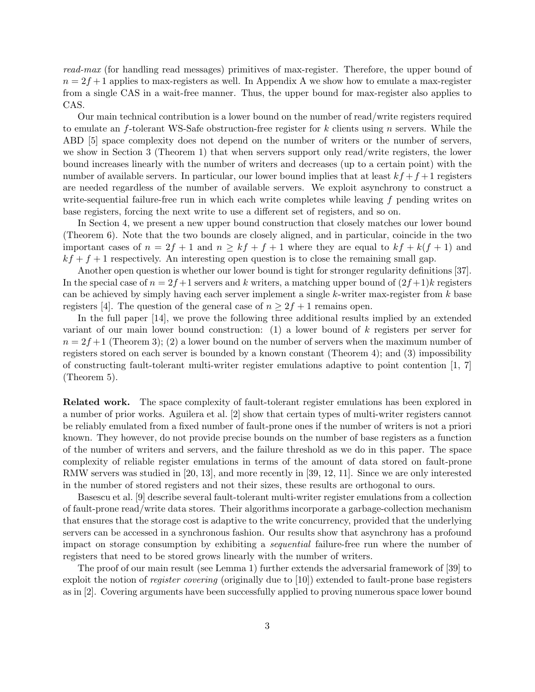read-max (for handling read messages) primitives of max-register. Therefore, the upper bound of  $n = 2f + 1$  applies to max-registers as well. In Appendix A we show how to emulate a max-register from a single CAS in a wait-free manner. Thus, the upper bound for max-register also applies to CAS.

Our main technical contribution is a lower bound on the number of read/write registers required to emulate an f-tolerant WS-Safe obstruction-free register for  $k$  clients using n servers. While the ABD [5] space complexity does not depend on the number of writers or the number of servers, we show in Section 3 (Theorem 1) that when servers support only read/write registers, the lower bound increases linearly with the number of writers and decreases (up to a certain point) with the number of available servers. In particular, our lower bound implies that at least  $kf+f+1$  registers are needed regardless of the number of available servers. We exploit asynchrony to construct a write-sequential failure-free run in which each write completes while leaving f pending writes on base registers, forcing the next write to use a different set of registers, and so on.

In Section 4, we present a new upper bound construction that closely matches our lower bound (Theorem 6). Note that the two bounds are closely aligned, and in particular, coincide in the two important cases of  $n = 2f + 1$  and  $n \geq kf + f + 1$  where they are equal to  $kf + k(f + 1)$  and  $kf + f + 1$  respectively. An interesting open question is to close the remaining small gap.

Another open question is whether our lower bound is tight for stronger regularity definitions [37]. In the special case of  $n = 2f + 1$  servers and k writers, a matching upper bound of  $(2f + 1)k$  registers can be achieved by simply having each server implement a single  $k$ -writer max-register from  $k$  base registers [4]. The question of the general case of  $n \geq 2f + 1$  remains open.

In the full paper [14], we prove the following three additional results implied by an extended variant of our main lower bound construction:  $(1)$  a lower bound of k registers per server for  $n = 2f + 1$  (Theorem 3); (2) a lower bound on the number of servers when the maximum number of registers stored on each server is bounded by a known constant (Theorem 4); and (3) impossibility of constructing fault-tolerant multi-writer register emulations adaptive to point contention [1, 7] (Theorem 5).

Related work. The space complexity of fault-tolerant register emulations has been explored in a number of prior works. Aguilera et al. [2] show that certain types of multi-writer registers cannot be reliably emulated from a fixed number of fault-prone ones if the number of writers is not a priori known. They however, do not provide precise bounds on the number of base registers as a function of the number of writers and servers, and the failure threshold as we do in this paper. The space complexity of reliable register emulations in terms of the amount of data stored on fault-prone RMW servers was studied in [20, 13], and more recently in [39, 12, 11]. Since we are only interested in the number of stored registers and not their sizes, these results are orthogonal to ours.

Basescu et al. [9] describe several fault-tolerant multi-writer register emulations from a collection of fault-prone read/write data stores. Their algorithms incorporate a garbage-collection mechanism that ensures that the storage cost is adaptive to the write concurrency, provided that the underlying servers can be accessed in a synchronous fashion. Our results show that asynchrony has a profound impact on storage consumption by exhibiting a sequential failure-free run where the number of registers that need to be stored grows linearly with the number of writers.

The proof of our main result (see Lemma 1) further extends the adversarial framework of [39] to exploit the notion of register covering (originally due to [10]) extended to fault-prone base registers as in [2]. Covering arguments have been successfully applied to proving numerous space lower bound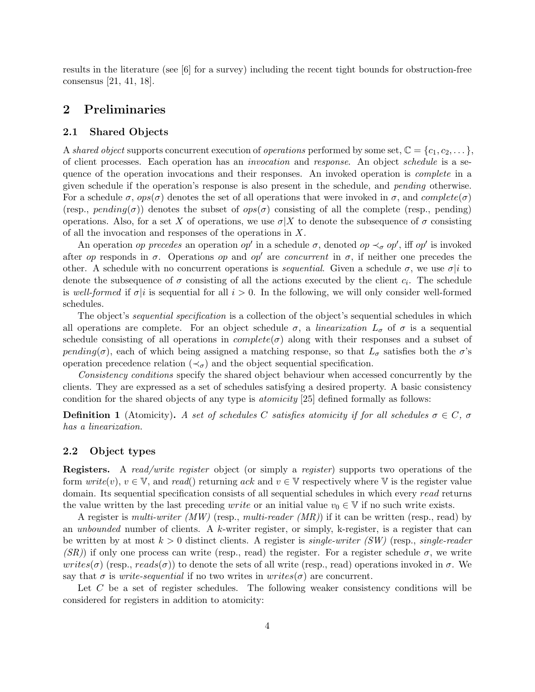results in the literature (see [6] for a survey) including the recent tight bounds for obstruction-free consensus [21, 41, 18].

## 2 Preliminaries

#### 2.1 Shared Objects

A shared object supports concurrent execution of operations performed by some set,  $\mathbb{C} = \{c_1, c_2, \dots\}$ , of client processes. Each operation has an invocation and response. An object schedule is a sequence of the operation invocations and their responses. An invoked operation is complete in a given schedule if the operation's response is also present in the schedule, and pending otherwise. For a schedule  $\sigma$ ,  $ops(\sigma)$  denotes the set of all operations that were invoked in  $\sigma$ , and  $complete(\sigma)$ (resp.,  $pending(\sigma)$ ) denotes the subset of  $ops(\sigma)$  consisting of all the complete (resp., pending) operations. Also, for a set X of operations, we use  $\sigma|X$  to denote the subsequence of  $\sigma$  consisting of all the invocation and responses of the operations in X.

An operation *op precedes* an operation *op'* in a schedule  $\sigma$ , denoted *op*  $\prec_{\sigma} op'$ , iff *op'* is invoked after op responds in  $\sigma$ . Operations op and op' are concurrent in  $\sigma$ , if neither one precedes the other. A schedule with no concurrent operations is *sequential*. Given a schedule  $\sigma$ , we use  $\sigma|i$  to denote the subsequence of  $\sigma$  consisting of all the actions executed by the client  $c_i$ . The schedule is well-formed if  $\sigma|i$  is sequential for all  $i > 0$ . In the following, we will only consider well-formed schedules.

The object's *sequential specification* is a collection of the object's sequential schedules in which all operations are complete. For an object schedule  $\sigma$ , a *linearization*  $L_{\sigma}$  of  $\sigma$  is a sequential schedule consisting of all operations in  $complete(\sigma)$  along with their responses and a subset of pending( $\sigma$ ), each of which being assigned a matching response, so that  $L_{\sigma}$  satisfies both the  $\sigma$ 's operation precedence relation ( $\prec_{\sigma}$ ) and the object sequential specification.

Consistency conditions specify the shared object behaviour when accessed concurrently by the clients. They are expressed as a set of schedules satisfying a desired property. A basic consistency condition for the shared objects of any type is atomicity [25] defined formally as follows:

**Definition 1** (Atomicity). A set of schedules C satisfies atomicity if for all schedules  $\sigma \in C$ ,  $\sigma$ has a linearization.

### 2.2 Object types

Registers. A read/write register object (or simply a register) supports two operations of the form  $write(v), v \in V$ , and read() returning ack and  $v \in V$  respectively where V is the register value domain. Its sequential specification consists of all sequential schedules in which every read returns the value written by the last preceding *write* or an initial value  $v_0 \in V$  if no such write exists.

A register is *multi-writer (MW)* (resp., *multi-reader (MR)*) if it can be written (resp., read) by an *unbounded* number of clients. A k-writer register, or simply, k-register, is a register that can be written by at most  $k > 0$  distinct clients. A register is *single-writer (SW)* (resp., *single-reader* (SR)) if only one process can write (resp., read) the register. For a register schedule  $\sigma$ , we write writes( $\sigma$ ) (resp., reads( $\sigma$ )) to denote the sets of all write (resp., read) operations invoked in  $\sigma$ . We say that  $\sigma$  is *write-sequential* if no two writes in *writes(* $\sigma$ *)* are concurrent.

Let C be a set of register schedules. The following weaker consistency conditions will be considered for registers in addition to atomicity: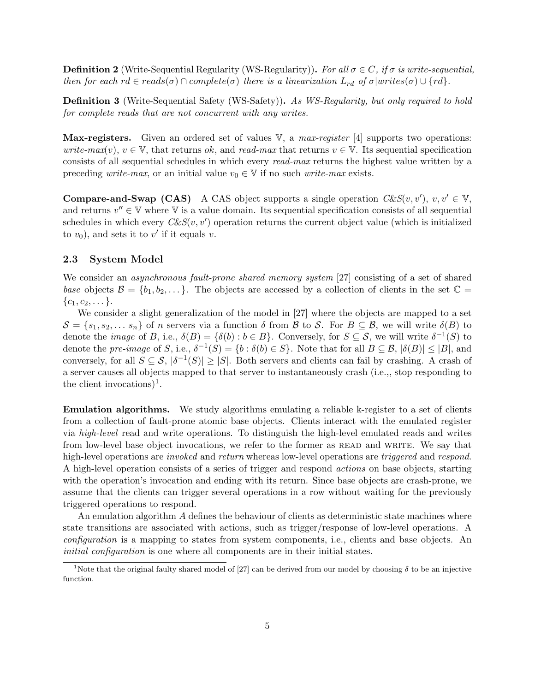**Definition 2** (Write-Sequential Regularity (WS-Regularity)). For all  $\sigma \in C$ , if  $\sigma$  is write-sequential, then for each  $rd \in reads(\sigma) \cap complete(\sigma)$  there is a linearization  $L_{rd}$  of  $\sigma|writes(\sigma) \cup \{rd\}.$ 

Definition 3 (Write-Sequential Safety (WS-Safety)). As WS-Regularity, but only required to hold for complete reads that are not concurrent with any writes.

**Max-registers.** Given an ordered set of values  $\mathbb{V}$ , a *max-register* [4] supports two operations: write-max(v),  $v \in V$ , that returns ok, and read-max that returns  $v \in V$ . Its sequential specification consists of all sequential schedules in which every read-max returns the highest value written by a preceding *write-max*, or an initial value  $v_0 \in V$  if no such *write-max* exists.

**Compare-and-Swap (CAS)** A CAS object supports a single operation  $C\&S(v, v'), v, v' \in V$ , and returns  $v'' \in V$  where V is a value domain. Its sequential specification consists of all sequential schedules in which every  $C\&S(v, v')$  operation returns the current object value (which is initialized to  $v_0$ ), and sets it to  $v'$  if it equals v.

#### 2.3 System Model

We consider an *asynchronous fault-prone shared memory system* [27] consisting of a set of shared base objects  $\mathcal{B} = \{b_1, b_2, \dots\}$ . The objects are accessed by a collection of clients in the set  $\mathbb{C} =$  $\{c_1, c_2, \dots\}.$ 

We consider a slight generalization of the model in [27] where the objects are mapped to a set  $\mathcal{S} = \{s_1, s_2, \dots s_n\}$  of n servers via a function  $\delta$  from  $\mathcal{B}$  to  $\mathcal{S}$ . For  $B \subseteq \mathcal{B}$ , we will write  $\delta(B)$  to denote the *image* of B, i.e.,  $\delta(B) = {\delta(b) : b \in B}$ . Conversely, for  $S \subseteq S$ , we will write  $\delta^{-1}(S)$  to denote the pre-image of S, i.e.,  $\delta^{-1}(S) = \{b : \delta(b) \in S\}$ . Note that for all  $B \subseteq \mathcal{B}, |\delta(B)| \leq |B|$ , and conversely, for all  $S \subseteq \mathcal{S}, |\delta^{-1}(S)| \geq |S|$ . Both servers and clients can fail by crashing. A crash of a server causes all objects mapped to that server to instantaneously crash (i.e.,, stop responding to the client invocations)<sup>1</sup>.

Emulation algorithms. We study algorithms emulating a reliable k-register to a set of clients from a collection of fault-prone atomic base objects. Clients interact with the emulated register via high-level read and write operations. To distinguish the high-level emulated reads and writes from low-level base object invocations, we refer to the former as READ and WRITE. We say that high-level operations are *invoked* and return whereas low-level operations are *triggered* and respond. A high-level operation consists of a series of trigger and respond actions on base objects, starting with the operation's invocation and ending with its return. Since base objects are crash-prone, we assume that the clients can trigger several operations in a row without waiting for the previously triggered operations to respond.

An emulation algorithm  $A$  defines the behaviour of clients as deterministic state machines where state transitions are associated with actions, such as trigger/response of low-level operations. A configuration is a mapping to states from system components, i.e., clients and base objects. An initial configuration is one where all components are in their initial states.

<sup>&</sup>lt;sup>1</sup>Note that the original faulty shared model of [27] can be derived from our model by choosing  $\delta$  to be an injective function.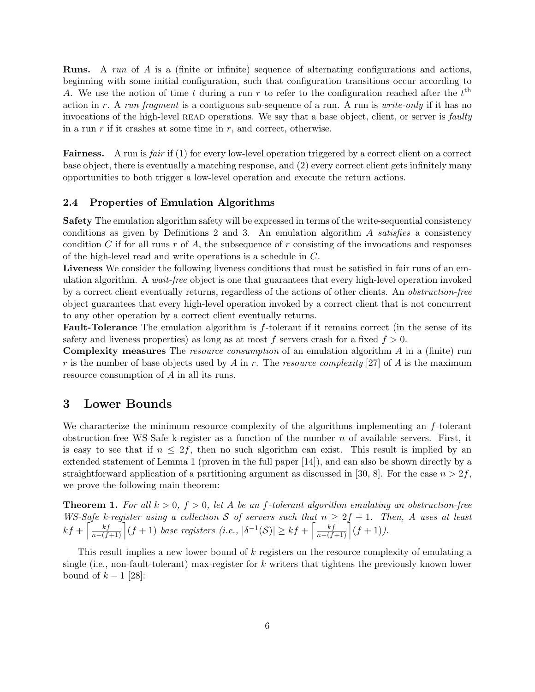Runs. A run of A is a (finite or infinite) sequence of alternating configurations and actions, beginning with some initial configuration, such that configuration transitions occur according to A. We use the notion of time t during a run r to refer to the configuration reached after the  $t<sup>th</sup>$ action in r. A run fragment is a contiguous sub-sequence of a run. A run is write-only if it has no invocations of the high-level READ operations. We say that a base object, client, or server is  $\varrho$  faulty in a run  $r$  if it crashes at some time in  $r$ , and correct, otherwise.

Fairness. A run is *fair* if (1) for every low-level operation triggered by a correct client on a correct base object, there is eventually a matching response, and (2) every correct client gets infinitely many opportunities to both trigger a low-level operation and execute the return actions.

#### 2.4 Properties of Emulation Algorithms

Safety The emulation algorithm safety will be expressed in terms of the write-sequential consistency conditions as given by Definitions 2 and 3. An emulation algorithm  $\tilde{A}$  satisfies a consistency condition C if for all runs  $r$  of A, the subsequence of  $r$  consisting of the invocations and responses of the high-level read and write operations is a schedule in C.

Liveness We consider the following liveness conditions that must be satisfied in fair runs of an emulation algorithm. A wait-free object is one that guarantees that every high-level operation invoked by a correct client eventually returns, regardless of the actions of other clients. An obstruction-free object guarantees that every high-level operation invoked by a correct client that is not concurrent to any other operation by a correct client eventually returns.

Fault-Tolerance The emulation algorithm is f-tolerant if it remains correct (in the sense of its safety and liveness properties) as long as at most f servers crash for a fixed  $f > 0$ .

Complexity measures The resource consumption of an emulation algorithm A in a (finite) run r is the number of base objects used by A in r. The resource complexity [27] of A is the maximum resource consumption of A in all its runs.

### 3 Lower Bounds

We characterize the minimum resource complexity of the algorithms implementing an f-tolerant obstruction-free WS-Safe k-register as a function of the number  $n$  of available servers. First, it is easy to see that if  $n \leq 2f$ , then no such algorithm can exist. This result is implied by an extended statement of Lemma 1 (proven in the full paper [14]), and can also be shown directly by a straightforward application of a partitioning argument as discussed in [30, 8]. For the case  $n > 2f$ , we prove the following main theorem:

**Theorem 1.** For all  $k > 0$ ,  $f > 0$ , let A be an f-tolerant algorithm emulating an obstruction-free WS-Safe k-register using a collection S of servers such that  $n \geq 2f + 1$ . Then, A uses at least  $kf + \left[\frac{kf}{n-(f+1)}\right](f+1)$  base registers  $(i.e., |\delta^{-1}(\mathcal{S})| \geq kf + \left[\frac{kf}{n-(f+1)}\right](f+1)).$ 

This result implies a new lower bound of k registers on the resource complexity of emulating a single (i.e., non-fault-tolerant) max-register for  $k$  writers that tightens the previously known lower bound of  $k - 1$  [28]: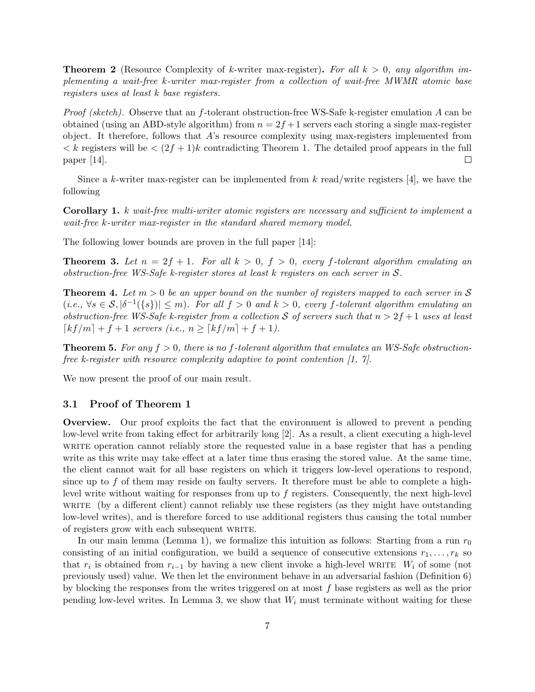**Theorem 2** (Resource Complexity of k-writer max-register). For all  $k > 0$ , any algorithm implementing a wait-free k-writer max-register from a collection of wait-free MWMR atomic base registers uses at least k base registers.

*Proof (sketch).* Observe that an f-tolerant obstruction-free WS-Safe k-register emulation A can be obtained (using an ABD-style algorithm) from  $n = 2f + 1$  servers each storing a single max-register object. It therefore, follows that A's resource complexity using max-registers implemented from  $\langle k \rangle$  registers will be  $\langle (2f+1)k \rangle$  contradicting Theorem 1. The detailed proof appears in the full paper  $|14|$ .  $\Box$ 

Since a k-writer max-register can be implemented from k read/write registers [4], we have the following

Corollary 1. k wait-free multi-writer atomic registers are necessary and sufficient to implement a wait-free k-writer max-register in the standard shared memory model.

The following lower bounds are proven in the full paper [14]:

**Theorem 3.** Let  $n = 2f + 1$ . For all  $k > 0$ ,  $f > 0$ , every f-tolerant algorithm emulating an obstruction-free WS-Safe k-register stores at least k registers on each server in S.

**Theorem 4.** Let  $m > 0$  be an upper bound on the number of registers mapped to each server in S  $(i.e., \forall s \in S, |\delta^{-1}(\{s\})| \leq m$ ). For all  $f > 0$  and  $k > 0$ , every f-tolerant algorithm emulating an obstruction-free WS-Safe k-register from a collection S of servers such that  $n > 2f + 1$  uses at least  $\lceil kf/m \rceil + f + 1$  servers (i.e.,  $n \geq \lceil kf/m \rceil + f + 1$ ).

**Theorem 5.** For any  $f > 0$ , there is no f-tolerant algorithm that emulates an WS-Safe obstructionfree k-register with resource complexity adaptive to point contention  $\left[1, 7\right]$ .

We now present the proof of our main result.

#### 3.1 Proof of Theorem 1

Overview. Our proof exploits the fact that the environment is allowed to prevent a pending low-level write from taking effect for arbitrarily long [2]. As a result, a client executing a high-level writter operation cannot reliably store the requested value in a base register that has a pending write as this write may take effect at a later time thus erasing the stored value. At the same time, the client cannot wait for all base registers on which it triggers low-level operations to respond, since up to f of them may reside on faulty servers. It therefore must be able to complete a highlevel write without waiting for responses from up to f registers. Consequently, the next high-level writted (by a different client) cannot reliably use these registers (as they might have outstanding low-level writes), and is therefore forced to use additional registers thus causing the total number of registers grow with each subsequent WRITE.

In our main lemma (Lemma 1), we formalize this intuition as follows: Starting from a run  $r_0$ consisting of an initial configuration, we build a sequence of consecutive extensions  $r_1, \ldots, r_k$  so that  $r_i$  is obtained from  $r_{i-1}$  by having a new client invoke a high-level WRITE  $W_i$  of some (not previously used) value. We then let the environment behave in an adversarial fashion (Definition 6) by blocking the responses from the writes triggered on at most  $f$  base registers as well as the prior pending low-level writes. In Lemma 3, we show that  $W_i$  must terminate without waiting for these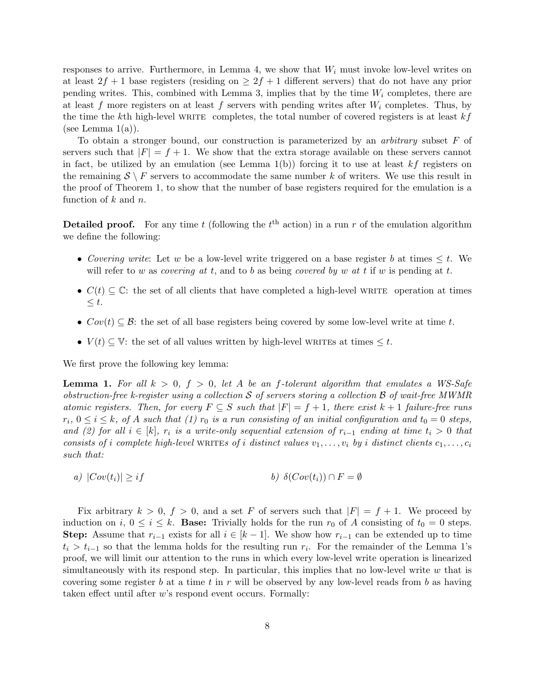responses to arrive. Furthermore, in Lemma 4, we show that  $W_i$  must invoke low-level writes on at least  $2f + 1$  base registers (residing on  $\geq 2f + 1$  different servers) that do not have any prior pending writes. This, combined with Lemma 3, implies that by the time  $W_i$  completes, there are at least f more registers on at least f servers with pending writes after  $W_i$  completes. Thus, by the time the kth high-level WRITE completes, the total number of covered registers is at least  $kf$ (see Lemma  $1(a)$ ).

To obtain a stronger bound, our construction is parameterized by an arbitrary subset F of servers such that  $|F| = f + 1$ . We show that the extra storage available on these servers cannot in fact, be utilized by an emulation (see Lemma  $1(b)$ ) forcing it to use at least kf registers on the remaining  $S \setminus F$  servers to accommodate the same number k of writers. We use this result in the proof of Theorem 1, to show that the number of base registers required for the emulation is a function of  $k$  and  $n$ .

**Detailed proof.** For any time t (following the  $t^{\text{th}}$  action) in a run r of the emulation algorithm we define the following:

- Covering write: Let w be a low-level write triggered on a base register b at times  $\leq t$ . We will refer to w as *covering at t*, and to b as being *covered by w at t* if w is pending at t.
- $C(t) \subseteq \mathbb{C}$ : the set of all clients that have completed a high-level WRITE operation at times  $\leq t$ .
- $Cov(t) \subseteq \mathcal{B}$ : the set of all base registers being covered by some low-level write at time t.
- $V(t) \subseteq V$ : the set of all values written by high-level WRITES at times  $\leq t$ .

We first prove the following key lemma:

**Lemma 1.** For all  $k > 0$ ,  $f > 0$ , let A be an f-tolerant algorithm that emulates a WS-Safe obstruction-free k-register using a collection S of servers storing a collection B of wait-free MWMR atomic registers. Then, for every  $F \subseteq S$  such that  $|F| = f + 1$ , there exist  $k + 1$  failure-free runs  $r_i$ ,  $0 \le i \le k$ , of A such that (1)  $r_0$  is a run consisting of an initial configuration and  $t_0 = 0$  steps, and (2) for all  $i \in [k]$ ,  $r_i$  is a write-only sequential extension of  $r_{i-1}$  ending at time  $t_i > 0$  that consists of i complete high-level WRITES of i distinct values  $v_1, \ldots, v_i$  by i distinct clients  $c_1, \ldots, c_i$ such that:

a)  $|Cov(t_i)| > if$  b)  $\delta(Cov(t_i)) \cap F = \emptyset$ 

Fix arbitrary  $k > 0$ ,  $f > 0$ , and a set F of servers such that  $|F| = f + 1$ . We proceed by induction on i,  $0 \le i \le k$ . Base: Trivially holds for the run  $r_0$  of A consisting of  $t_0 = 0$  steps. **Step:** Assume that  $r_{i-1}$  exists for all  $i \in [k-1]$ . We show how  $r_{i-1}$  can be extended up to time  $t_i > t_{i-1}$  so that the lemma holds for the resulting run  $r_i$ . For the remainder of the Lemma 1's proof, we will limit our attention to the runs in which every low-level write operation is linearized simultaneously with its respond step. In particular, this implies that no low-level write  $w$  that is covering some register b at a time t in r will be observed by any low-level reads from b as having taken effect until after  $w$ 's respond event occurs. Formally: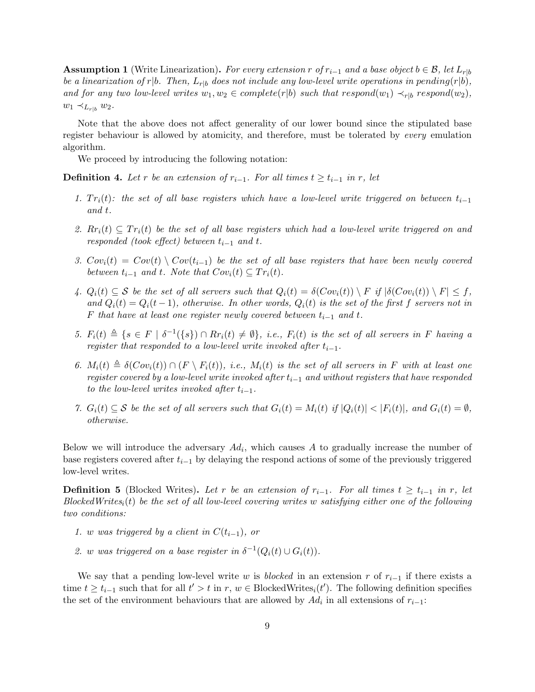**Assumption 1** (Write Linearization). For every extension r of  $r_{i-1}$  and a base object  $b \in \mathcal{B}$ , let  $L_{rb}$ be a linearization of r|b. Then,  $L_{r|b}$  does not include any low-level write operations in pending(r|b), and for any two low-level writes  $w_1, w_2 \in complete(r|b)$  such that respond $(w_1) \prec_{rb} respond(w_2)$ ,  $w_1 \prec_{L_{r|b}} w_2$ .

Note that the above does not affect generality of our lower bound since the stipulated base register behaviour is allowed by atomicity, and therefore, must be tolerated by every emulation algorithm.

We proceed by introducing the following notation:

**Definition 4.** Let r be an extension of  $r_{i-1}$ . For all times  $t \geq t_{i-1}$  in r, let

- 1.  $Tr_i(t)$ : the set of all base registers which have a low-level write triggered on between  $t_{i-1}$ and t.
- 2.  $R_{r_i}(t) \subseteq Tr_i(t)$  be the set of all base registers which had a low-level write triggered on and responded (took effect) between  $t_{i-1}$  and t.
- 3.  $Cov_i(t) = Cov(t) \setminus Cov(t_{i-1})$  be the set of all base registers that have been newly covered between  $t_{i-1}$  and t. Note that  $Cov_i(t) \subseteq Tr_i(t)$ .
- 4.  $Q_i(t) \subseteq S$  be the set of all servers such that  $Q_i(t) = \delta(Cov_i(t)) \setminus F$  if  $|\delta(Cov_i(t)) \setminus F| \leq f$ , and  $Q_i(t) = Q_i(t-1)$ , otherwise. In other words,  $Q_i(t)$  is the set of the first f servers not in F that have at least one register newly covered between  $t_{i-1}$  and t.
- 5.  $F_i(t) \triangleq \{ s \in F \mid \delta^{-1}(\{ s \}) \cap Rr_i(t) \neq \emptyset \}, \ i.e., \ F_i(t) \ \text{is the set of all servers in } F \ \text{having a}$ register that responded to a low-level write invoked after  $t_{i-1}$ .
- 6.  $M_i(t) \triangleq \delta(Cov_i(t)) \cap (F \setminus F_i(t)),$  i.e.,  $M_i(t)$  is the set of all servers in F with at least one register covered by a low-level write invoked after  $t_{i-1}$  and without registers that have responded to the low-level writes invoked after  $t_{i-1}$ .
- 7.  $G_i(t) \subseteq S$  be the set of all servers such that  $G_i(t) = M_i(t)$  if  $|Q_i(t)| < |F_i(t)|$ , and  $G_i(t) = \emptyset$ , otherwise.

Below we will introduce the adversary  $Ad_i$ , which causes A to gradually increase the number of base registers covered after  $t_{i-1}$  by delaying the respond actions of some of the previously triggered low-level writes.

**Definition 5** (Blocked Writes). Let r be an extension of  $r_{i-1}$ . For all times  $t \geq t_{i-1}$  in r, let  $BlockedWrites_i(t)$  be the set of all low-level covering writes w satisfying either one of the following two conditions:

- 1. w was triggered by a client in  $C(t_{i-1})$ , or
- 2. w was triggered on a base register in  $\delta^{-1}(Q_i(t) \cup G_i(t))$ .

We say that a pending low-level write w is blocked in an extension r of  $r_{i-1}$  if there exists a time  $t \geq t_{i-1}$  such that for all  $t' > t$  in  $r, w \in \text{BlockedWrites}_i(t')$ . The following definition specifies the set of the environment behaviours that are allowed by  $Ad_i$  in all extensions of  $r_{i-1}$ :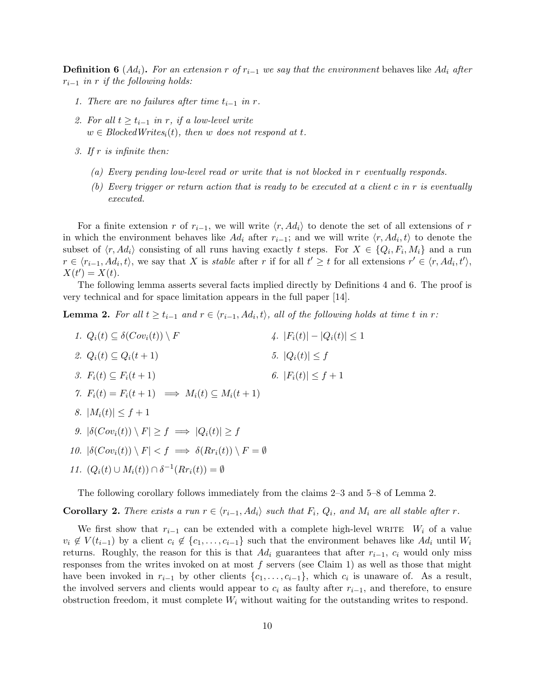**Definition 6** ( $Ad_i$ ). For an extension r of r<sub>i−1</sub> we say that the environment behaves like  $Ad_i$  after  $r_{i-1}$  in r if the following holds:

- 1. There are no failures after time  $t_{i-1}$  in r.
- 2. For all  $t \geq t_{i-1}$  in r, if a low-level write  $w \in BlockedWrites_i(t)$ , then w does not respond at t.
- 3. If r is infinite then:
	- (a) Every pending low-level read or write that is not blocked in r eventually responds.
	- (b) Every trigger or return action that is ready to be executed at a client c in r is eventually executed.

For a finite extension r of  $r_{i-1}$ , we will write  $\langle r, Ad_i \rangle$  to denote the set of all extensions of r in which the environment behaves like  $Ad_i$  after  $r_{i-1}$ ; and we will write  $\langle r, Ad_i, t \rangle$  to denote the subset of  $\langle r, Ad_i \rangle$  consisting of all runs having exactly t steps. For  $X \in \{Q_i, F_i, M_i\}$  and a run  $r \in \langle r_{i-1}, Ad_i, t \rangle$ , we say that X is stable after r if for all  $t' \geq t$  for all extensions  $r' \in \langle r, Ad_i, t' \rangle$ ,  $X(t') = X(t).$ 

The following lemma asserts several facts implied directly by Definitions 4 and 6. The proof is very technical and for space limitation appears in the full paper [14].

**Lemma 2.** For all  $t \ge t_{i-1}$  and  $r \in \langle r_{i-1}, Ad_i, t \rangle$ , all of the following holds at time t in r:

1.  $Q_i(t) \subseteq \delta(Cov_i(t)) \setminus F$ 2.  $Q_i(t) \subseteq Q_i(t+1)$ 3.  $F_i(t) \subseteq F_i(t+1)$ 4.  $|F_i(t)| - |Q_i(t)| \leq 1$ 5.  $|Q_i(t)| \leq f$ 6.  $|F_i(t)| \leq f+1$ 7.  $F_i(t) = F_i(t+1) \implies M_i(t) \subseteq M_i(t+1)$ 8.  $|M_i(t)| \leq f+1$ 9.  $|\delta(Cov_i(t)) \setminus F| \geq f \implies |Q_i(t)| \geq f$ 10.  $|\delta(Cov_i(t)) \setminus F| < f \implies \delta(Rr_i(t)) \setminus F = \emptyset$ 11.  $(Q_i(t) \cup M_i(t)) \cap \delta^{-1}(Rr_i(t)) = \emptyset$ 

The following corollary follows immediately from the claims 2–3 and 5–8 of Lemma 2.

**Corollary 2.** There exists a run  $r \in \langle r_{i-1}, Ad_i \rangle$  such that  $F_i$ ,  $Q_i$ , and  $M_i$  are all stable after r.

We first show that  $r_{i-1}$  can be extended with a complete high-level WRITE  $W_i$  of a value  $v_i \notin V(t_{i-1})$  by a client  $c_i \notin \{c_1, \ldots, c_{i-1}\}\$  such that the environment behaves like  $Ad_i$  until  $W_i$ returns. Roughly, the reason for this is that  $Ad_i$  guarantees that after  $r_{i-1}$ ,  $c_i$  would only miss responses from the writes invoked on at most  $f$  servers (see Claim 1) as well as those that might have been invoked in  $r_{i-1}$  by other clients  $\{c_1, \ldots, c_{i-1}\}$ , which  $c_i$  is unaware of. As a result, the involved servers and clients would appear to  $c_i$  as faulty after  $r_{i-1}$ , and therefore, to ensure obstruction freedom, it must complete  $W_i$  without waiting for the outstanding writes to respond.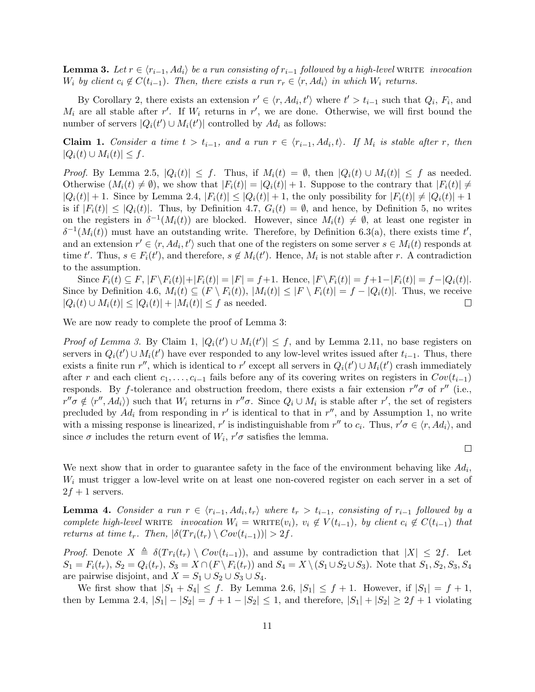**Lemma 3.** Let  $r \in \langle r_{i-1}, Ad_i \rangle$  be a run consisting of  $r_{i-1}$  followed by a high-level write invocation  $W_i$  by client  $c_i \notin C(t_{i-1})$ . Then, there exists a run  $r_r \in \langle r, Ad_i \rangle$  in which  $W_i$  returns.

By Corollary 2, there exists an extension  $r' \in \langle r, Ad_i, t' \rangle$  where  $t' > t_{i-1}$  such that  $Q_i$ ,  $F_i$ , and  $M_i$  are all stable after r'. If  $W_i$  returns in r', we are done. Otherwise, we will first bound the number of servers  $|Q_i(t') \cup M_i(t')|$  controlled by  $Ad_i$  as follows:

**Claim 1.** Consider a time  $t > t_{i-1}$ , and a run  $r \in \langle r_{i-1}, Ad_i, t \rangle$ . If  $M_i$  is stable after r, then  $|Q_i(t) \cup M_i(t)| \leq f.$ 

*Proof.* By Lemma 2.5,  $|Q_i(t)| \leq f$ . Thus, if  $M_i(t) = \emptyset$ , then  $|Q_i(t) \cup M_i(t)| \leq f$  as needed. Otherwise  $(M_i(t) \neq \emptyset)$ , we show that  $|F_i(t)| = |Q_i(t)| + 1$ . Suppose to the contrary that  $|F_i(t)| \neq \emptyset$  $|Q_i(t)| + 1$ . Since by Lemma 2.4,  $|F_i(t)| \leq |Q_i(t)| + 1$ , the only possibility for  $|F_i(t)| \neq |Q_i(t)| + 1$ is if  $|F_i(t)| \leq |Q_i(t)|$ . Thus, by Definition 4.7,  $G_i(t) = \emptyset$ , and hence, by Definition 5, no writes on the registers in  $\delta^{-1}(M_i(t))$  are blocked. However, since  $M_i(t) \neq \emptyset$ , at least one register in  $\delta^{-1}(M_i(t))$  must have an outstanding write. Therefore, by Definition 6.3(a), there exists time t', and an extension  $r' \in \langle r, Ad_i, t'\rangle$  such that one of the registers on some server  $s \in M_i(t)$  responds at time t'. Thus,  $s \in F_i(t')$ , and therefore,  $s \notin M_i(t')$ . Hence,  $M_i$  is not stable after r. A contradiction to the assumption.

Since  $F_i(t) \subseteq F$ ,  $|F \setminus F_i(t)|+|F_i(t)| = |F| = f+1$ . Hence,  $|F \setminus F_i(t)| = f+1-|F_i(t)| = f-|Q_i(t)|$ . Since by Definition 4.6,  $M_i(t) \subseteq (F \setminus F_i(t)), |M_i(t)| \leq |F \setminus F_i(t)| = f - |Q_i(t)|$ . Thus, we receive  $|Q_i(t) \cup M_i(t)| \leq |Q_i(t)| + |M_i(t)| \leq f$  as needed.  $\Box$ 

We are now ready to complete the proof of Lemma 3:

*Proof of Lemma 3.* By Claim 1,  $|Q_i(t') \cup M_i(t')| \leq f$ , and by Lemma 2.11, no base registers on servers in  $Q_i(t') \cup M_i(t')$  have ever responded to any low-level writes issued after  $t_{i-1}$ . Thus, there exists a finite run r'', which is identical to r' except all servers in  $Q_i(t') \cup M_i(t')$  crash immediately after r and each client  $c_1, \ldots, c_{i-1}$  fails before any of its covering writes on registers in  $Cov(t_{i-1})$ responds. By f-tolerance and obstruction freedom, there exists a fair extension  $r''\sigma$  of  $r''$  (i.e.,  $r''\sigma \notin \langle r'', Ad_i \rangle$  such that  $W_i$  returns in  $r''\sigma$ . Since  $Q_i \cup M_i$  is stable after r', the set of registers precluded by  $Ad_i$  from responding in r' is identical to that in r'', and by Assumption 1, no write with a missing response is linearized, r' is indistinguishable from r'' to  $c_i$ . Thus,  $r' \sigma \in \langle r, Ad_i \rangle$ , and since  $\sigma$  includes the return event of  $W_i$ ,  $r'\sigma$  satisfies the lemma.

 $\Box$ 

We next show that in order to guarantee safety in the face of the environment behaving like  $Ad_i$ ,  $W<sub>i</sub>$  must trigger a low-level write on at least one non-covered register on each server in a set of  $2f + 1$  servers.

**Lemma 4.** Consider a run  $r \in \langle r_{i-1}, Ad_i, t_r \rangle$  where  $t_r > t_{i-1}$ , consisting of  $r_{i-1}$  followed by a complete high-level WRITE invocation  $W_i = \text{WRITE}(v_i)$ ,  $v_i \notin V(t_{i-1})$ , by client  $c_i \notin C(t_{i-1})$  that returns at time  $t_r$ . Then,  $|\delta(Tr_i(t_r) \setminus Cov(t_{i-1}))| > 2f$ .

*Proof.* Denote  $X \triangleq \delta(T r_i(t_r) \setminus Cov(t_{i-1}))$ , and assume by contradiction that  $|X| \leq 2f$ . Let  $S_1 = F_i(t_r)$ ,  $S_2 = Q_i(t_r)$ ,  $S_3 = X \cap (F \setminus F_i(t_r))$  and  $S_4 = X \setminus (S_1 \cup S_2 \cup S_3)$ . Note that  $S_1, S_2, S_3, S_4$ are pairwise disjoint, and  $X = S_1 \cup S_2 \cup S_3 \cup S_4$ .

We first show that  $|S_1 + S_4| \leq f$ . By Lemma 2.6,  $|S_1| \leq f + 1$ . However, if  $|S_1| = f + 1$ , then by Lemma 2.4,  $|S_1| - |S_2| = f + 1 - |S_2| \le 1$ , and therefore,  $|S_1| + |S_2| \ge 2f + 1$  violating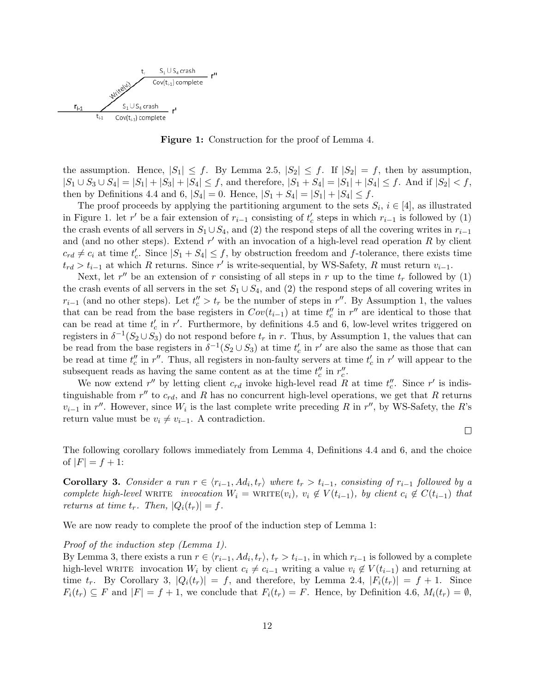

Figure 1: Construction for the proof of Lemma 4.

the assumption. Hence,  $|S_1| \leq f$ . By Lemma 2.5,  $|S_2| \leq f$ . If  $|S_2| = f$ , then by assumption,  $|S_1 \cup S_3 \cup S_4| = |S_1| + |S_3| + |S_4| \leq f$ , and therefore,  $|S_1 + S_4| = |S_1| + |S_4| \leq f$ . And if  $|S_2| < f$ , then by Definitions 4.4 and 6,  $|S_4| = 0$ . Hence,  $|S_1 + S_4| = |S_1| + |S_4| \leq f$ .

The proof proceeds by applying the partitioning argument to the sets  $S_i$ ,  $i \in [4]$ , as illustrated in Figure 1. let r' be a fair extension of  $r_{i-1}$  consisting of  $t'_{c}$  steps in which  $r_{i-1}$  is followed by (1) the crash events of all servers in  $S_1 \cup S_4$ , and (2) the respond steps of all the covering writes in  $r_{i-1}$ and (and no other steps). Extend  $r'$  with an invocation of a high-level read operation R by client  $c_{rd} \neq c_i$  at time  $t'_c$ . Since  $|S_1 + S_4| \leq f$ , by obstruction freedom and f-tolerance, there exists time  $t_{rd} > t_{i-1}$  at which R returns. Since r' is write-sequential, by WS-Safety, R must return  $v_{i-1}$ .

Next, let  $r''$  be an extension of r consisting of all steps in r up to the time  $t_r$  followed by (1) the crash events of all servers in the set  $S_1 \cup S_4$ , and (2) the respond steps of all covering writes in  $r_{i-1}$  (and no other steps). Let  $t''_c > t_r$  be the number of steps in r''. By Assumption 1, the values that can be read from the base registers in  $Cov(t_{i-1})$  at time  $t''_c$  in r'' are identical to those that can be read at time  $t'_{c}$  in  $r'$ . Furthermore, by definitions 4.5 and 6, low-level writes triggered on registers in  $\delta^{-1}(S_2 \cup S_3)$  do not respond before  $t_r$  in r. Thus, by Assumption 1, the values that can be read from the base registers in  $\delta^{-1}(S_2 \cup S_3)$  at time  $t'_c$  in  $r'$  are also the same as those that can be read at time  $t''_c$  in  $r''$ . Thus, all registers in non-faulty servers at time  $t'_c$  in  $r'$  will appear to the subsequent reads as having the same content as at the time  $t''_c$  in  $r''_c$ .

We now extend  $r''$  by letting client  $c_{rd}$  invoke high-level read R at time  $t''_c$ . Since  $r'$  is indistinguishable from  $r''$  to  $c_{rd}$ , and R has no concurrent high-level operations, we get that R returns  $v_{i-1}$  in r''. However, since  $W_i$  is the last complete write preceding R in r'', by WS-Safety, the R's return value must be  $v_i \neq v_{i-1}$ . A contradiction.

 $\Box$ 

The following corollary follows immediately from Lemma 4, Definitions 4.4 and 6, and the choice of  $|F| = f + 1$ :

**Corollary 3.** Consider a run  $r \in \langle r_{i-1}, Ad_i, t_r \rangle$  where  $t_r > t_{i-1}$ , consisting of  $r_{i-1}$  followed by a complete high-level WRITE invocation  $W_i = \text{WRITE}(v_i)$ ,  $v_i \notin V(t_{i-1})$ , by client  $c_i \notin C(t_{i-1})$  that returns at time  $t_r$ . Then,  $|Q_i(t_r)| = f$ .

We are now ready to complete the proof of the induction step of Lemma 1:

#### Proof of the induction step (Lemma 1).

By Lemma 3, there exists a run  $r \in \langle r_{i-1}, Ad_i, t_r \rangle$ ,  $t_r > t_{i-1}$ , in which  $r_{i-1}$  is followed by a complete high-level writte invocation  $W_i$  by client  $c_i \neq c_{i-1}$  writing a value  $v_i \notin V(t_{i-1})$  and returning at time  $t_r$ . By Corollary 3,  $|Q_i(t_r)| = f$ , and therefore, by Lemma 2.4,  $|F_i(t_r)| = f + 1$ . Since  $F_i(t_r) \subseteq F$  and  $|F| = f + 1$ , we conclude that  $F_i(t_r) = F$ . Hence, by Definition 4.6,  $M_i(t_r) = \emptyset$ ,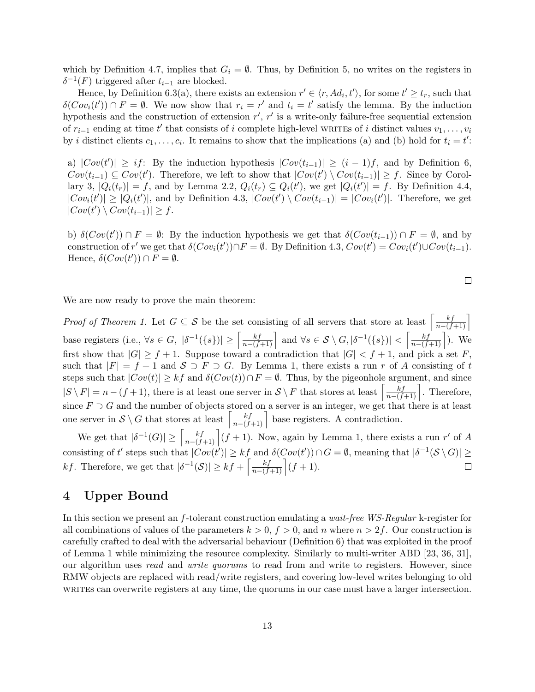which by Definition 4.7, implies that  $G_i = \emptyset$ . Thus, by Definition 5, no writes on the registers in  $\delta^{-1}(F)$  triggered after  $t_{i-1}$  are blocked.

Hence, by Definition 6.3(a), there exists an extension  $r' \in \langle r, Ad_i, t' \rangle$ , for some  $t' \geq t_r$ , such that  $\delta(Cov_i(t')) \cap F = \emptyset$ . We now show that  $r_i = r'$  and  $t_i = t'$  satisfy the lemma. By the induction hypothesis and the construction of extension  $r'$ ,  $r'$  is a write-only failure-free sequential extension of  $r_{i-1}$  ending at time t' that consists of i complete high-level writes of i distinct values  $v_1, \ldots, v_i$ by *i* distinct clients  $c_1, \ldots, c_i$ . It remains to show that the implications (a) and (b) hold for  $t_i = t'$ .

a)  $|Cov(t')| \geq if$ : By the induction hypothesis  $|Cov(t_{i-1})| \geq (i-1)f$ , and by Definition 6,  $Cov(t_{i-1}) \subseteq Cov(t')$ . Therefore, we left to show that  $|Cov(t') \setminus Cov(t_{i-1})| \geq f$ . Since by Corollary 3,  $|Q_i(t_r)| = f$ , and by Lemma 2.2,  $Q_i(t_r) \subseteq Q_i(t')$ , we get  $|Q_i(t')| = f$ . By Definition 4.4,  $|Cov_i(t')| \geq |Q_i(t')|$ , and by Definition 4.3,  $|Cov(t') \setminus Cov(t_{i-1})| = |Cov_i(t')|$ . Therefore, we get  $|Cov(t') \setminus Cov(t_{i-1})| \geq f.$ 

b)  $\delta(Cov(t')) \cap F = \emptyset$ : By the induction hypothesis we get that  $\delta(Cov(t_{i-1})) \cap F = \emptyset$ , and by construction of r' we get that  $\delta(Cov_i(t')) \cap F = \emptyset$ . By Definition 4.3,  $Cov(t') = Cov_i(t') \cup Cov(t_{i-1})$ . Hence,  $\delta(Cov(t')) \cap F = \emptyset$ .

 $\Box$ 

We are now ready to prove the main theorem:

*Proof of Theorem 1.* Let  $G \subseteq S$  be the set consisting of all servers that store at least  $\left\lceil \frac{k f}{n-(f+1)} \right\rceil$ base registers (i.e.,  $\forall s \in G$ ,  $|\delta^{-1}(\{s\})| \ge \left\lceil \frac{kf}{n-(f+1)} \right\rceil$  and  $\forall s \in S \setminus G$ ,  $|\delta^{-1}(\{s\})| < \left\lceil \frac{kf}{n-(f+1)} \right\rceil$ ). We first show that  $|G| \geq f + 1$ . Suppose toward a contradiction that  $|G| < f + 1$ , and pick a set F, such that  $|F| = f + 1$  and  $S \supset F \supset G$ . By Lemma 1, there exists a run r of A consisting of t steps such that  $|Cov(t)| \geq k f$  and  $\delta(Cov(t)) \cap F = \emptyset$ . Thus, by the pigeonhole argument, and since  $|S \setminus F| = n - (f+1)$ , there is at least one server in  $S \setminus F$  that stores at least  $\left\lceil \frac{k f}{n - (f+1)} \right\rceil$ . Therefore, since  $F \supset G$  and the number of objects stored on a server is an integer, we get that there is at least one server in  $S \setminus G$  that stores at least  $\left\lceil \frac{k f}{n - (f+1)} \right\rceil$  base registers. A contradiction.

We get that  $|\delta^{-1}(G)| \ge \left[\frac{k f}{n-(f+1)}\right](f+1)$ . Now, again by Lemma 1, there exists a run r' of A consisting of t' steps such that  $|Cov(t')| \geq k f$  and  $\delta(Cov(t')) \cap G = \emptyset$ , meaning that  $|\delta^{-1}(\mathcal{S} \setminus G)| \geq$ kf. Therefore, we get that  $|\delta^{-1}(\mathcal{S})| \geq k f + \left\lceil \frac{k f}{n - (f+1)} \right\rceil (f+1)$ .  $\Box$ 

## 4 Upper Bound

In this section we present an f-tolerant construction emulating a wait-free WS-Regular k-register for all combinations of values of the parameters  $k > 0$ ,  $f > 0$ , and n where  $n > 2f$ . Our construction is carefully crafted to deal with the adversarial behaviour (Definition 6) that was exploited in the proof of Lemma 1 while minimizing the resource complexity. Similarly to multi-writer ABD [23, 36, 31], our algorithm uses *read* and *write quorums* to read from and write to registers. However, since RMW objects are replaced with read/write registers, and covering low-level writes belonging to old writted writter registers at any time, the quorums in our case must have a larger intersection.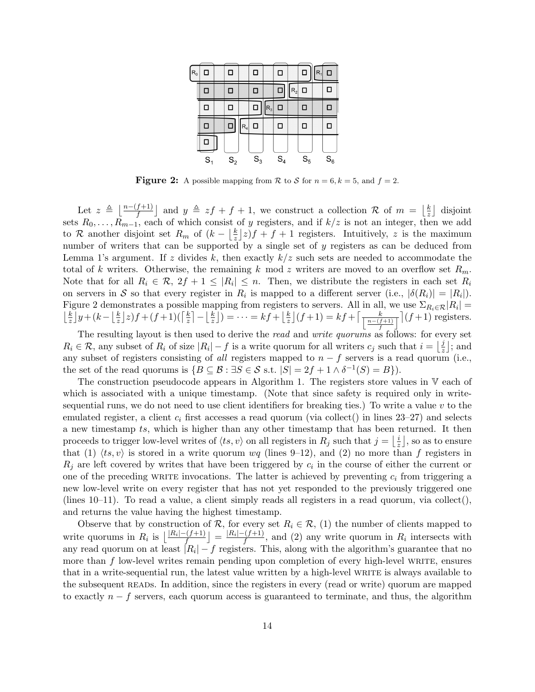| $R_0$ | □              | О      |       | □     |                | О     |         | о     | $R_{4}$ | $\Box$ |
|-------|----------------|--------|-------|-------|----------------|-------|---------|-------|---------|--------|
|       | Ω              | О      |       | п     |                | г     | $R_{2}$ | □     |         | □      |
|       | п              | п      |       | п     | $\mathsf{R}_3$ | п     |         | п     |         | п      |
|       | О              | $\Box$ | $R_4$ | □     |                | п     |         | □     |         | п      |
|       | п              |        |       |       |                |       |         |       |         |        |
|       | S <sub>1</sub> | $S_2$  |       | $S_3$ |                | $S_4$ |         | $S_5$ |         | $S_6$  |

**Figure 2:** A possible mapping from R to S for  $n = 6, k = 5$ , and  $f = 2$ .

Let  $z \triangleq \left\lfloor \frac{n-(f+1)}{f} \right\rfloor$  and  $y \triangleq zf + f + 1$ , we construct a collection R of  $m = \left\lfloor \frac{k}{z} \right\rfloor$  $\frac{k}{z}$  disjoint sets  $R_0, \ldots, R_{m-1}$ , each of which consist of y registers, and if  $k/z$  is not an integer, then we add to R another disjoint set  $R_m$  of  $(k - \frac{k}{n})$  $\frac{k}{z}$   $\left| z\right| f + f + 1$  registers. Intuitively, z is the maximum number of writers that can be supported by a single set of y registers as can be deduced from Lemma 1's argument. If z divides k, then exactly  $k/z$  such sets are needed to accommodate the total of k writers. Otherwise, the remaining k mod z writers are moved to an overflow set  $R_m$ . Note that for all  $R_i \in \mathcal{R}, 2f + 1 \leq |R_i| \leq n$ . Then, we distribute the registers in each set  $R_i$ on servers in S so that every register in  $R_i$  is mapped to a different server (i.e.,  $|\delta(R_i)| = |R_i|$ ). Figure 2 demonstrates a possible mapping from registers to servers. All in all, we use  $\Sigma_{R_i \in \mathcal{R}} |R_i|$  $\frac{k}{z}$  $\frac{k}{z}$ ]  $y + (k - \lfloor \frac{k}{z} \rfloor)$  $\frac{k}{z}$ |z)f +  $(f+1)$ ( $\left\lceil \frac{k}{z} \right\rceil$  $\left\lfloor \frac{k}{z} \right\rfloor - \left\lfloor \frac{k}{z} \right\rfloor$  $\left[\frac{k}{z}\right]$ ) =  $\cdots$  =  $kf + \left[\frac{k}{z}\right]$  $\frac{k}{z}$ ]  $(f+1) = kf + \lceil \frac{k}{\lceil \frac{n-(f)}{z} \rceil}$  $\frac{k}{\left\lfloor \frac{n-(f+1)}{f} \right\rfloor}$  |  $(f+1)$  registers.

The resulting layout is then used to derive the *read* and *write quorums* as follows: for every set  $R_i \in \mathcal{R}$ , any subset of  $R_i$  of size  $|R_i| - f$  is a write quorum for all writers  $c_j$  such that  $i = \frac{1}{z}$  $\frac{j}{z}$  ; and any subset of registers consisting of all registers mapped to  $n - f$  servers is a read quorum (i.e., the set of the read quorums is  $\{B \subseteq \mathcal{B} : \exists S \in \mathcal{S} \text{ s.t. } |S| = 2f + 1 \wedge \delta^{-1}(S) = B\}.$ 

The construction pseudocode appears in Algorithm 1. The registers store values in V each of which is associated with a unique timestamp. (Note that since safety is required only in writesequential runs, we do not need to use client identifiers for breaking ties.) To write a value  $v$  to the emulated register, a client  $c_i$  first accesses a read quorum (via collect() in lines  $23-27$ ) and selects a new timestamp ts, which is higher than any other timestamp that has been returned. It then proceeds to trigger low-level writes of  $\langle ts, v \rangle$  on all registers in  $R_j$  such that  $j = \frac{1}{z}$  $\frac{i}{z}$ , so as to ensure that (1)  $\langle ts, v \rangle$  is stored in a write quorum wq (lines 9–12), and (2) no more than f registers in  $R_j$  are left covered by writes that have been triggered by  $c_i$  in the course of either the current or one of the preceding WRITE invocations. The latter is achieved by preventing  $c_i$  from triggering a new low-level write on every register that has not yet responded to the previously triggered one (lines 10–11). To read a value, a client simply reads all registers in a read quorum, via collect(), and returns the value having the highest timestamp.

Observe that by construction of R, for every set  $R_i \in \mathcal{R}$ , (1) the number of clients mapped to write quorums in  $R_i$  is  $\lfloor \frac{|R_i|-(f+1)}{f} \rfloor = \frac{|R_i|-(f+1)}{f}$  $\frac{f(f+1)}{f}$ , and (2) any write quorum in  $R_i$  intersects with any read quorum on at least  $|R_i| - f$  registers. This, along with the algorithm's guarantee that no more than  $f$  low-level writes remain pending upon completion of every high-level writte, ensures that in a write-sequential run, the latest value written by a high-level write is always available to the subsequent reads. In addition, since the registers in every (read or write) quorum are mapped to exactly  $n - f$  servers, each quorum access is guaranteed to terminate, and thus, the algorithm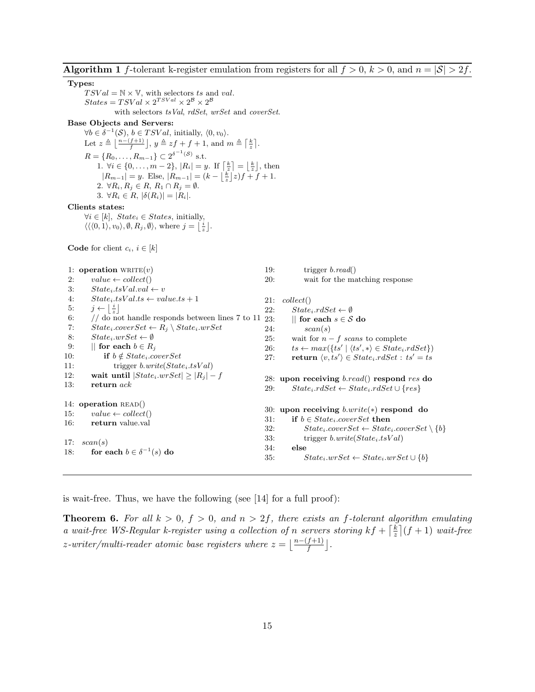**Algorithm 1** f-tolerant k-register emulation from registers for all  $f > 0$ ,  $k > 0$ , and  $n = |\mathcal{S}| > 2f$ .

Types:  $TSVal = N \times V$ , with selectors ts and val.  $States = TSVal \times 2^{TSVal} \times 2^{\mathcal{B}} \times 2^{\mathcal{B}}$ with selectors tsVal, rdSet, wrSet and coverSet. Base Objects and Servers:  $\forall b \in \delta^{-1}(\mathcal{S}), b \in TSVal,$  initially,  $\langle 0, v_0 \rangle$ . Let  $z \triangleq \lfloor \frac{n-(f+1)}{f} \rfloor$ ,  $y \triangleq zf + f + 1$ , and  $m \triangleq \lceil \frac{k}{z} \rceil$ .  $R = \{R_0, \ldots, R_{m-1}\} \subset 2^{\delta^{-1}(\mathcal{S})}$  s.t. 1. ∀*i* ∈ {0,...,*m* − 2}, |*R*<sub>*i*</sub>| = *y*. If  $\lceil \frac{k}{z} \rceil$  =  $\lfloor \frac{k}{z} \rfloor$ , then  $|R_{m-1}| = y$ . Else,  $|R_{m-1}| = (k - \lfloor \frac{k}{z} \rfloor z)f + f + 1$ . 2.  $\forall R_i, R_j \in R, R_1 \cap R_j = \emptyset.$ 3.  $\forall R_i \in R, |\delta(R_i)| = |R_i|.$ Clients states:  $\forall i \in [k], State_i \in States, initially,$  $\langle \langle 0, 1 \rangle, v_0 \rangle, \emptyset, R_j, \emptyset \rangle$ , where  $j = \lfloor \frac{i}{z} \rfloor$ . Code for client  $c_i, i \in [k]$ 1: operation  $\text{WRITE}(v)$ 2:  $value \leftarrow collect()$ 3:  $State_i.tsVal.val \leftarrow v$ 4:  $State_i.tsVal.ts \leftarrow value.ts + 1$ 5:  $j \leftarrow \left\lfloor \frac{i}{z} \right\rfloor$ 6:  $//$  do not handle responds between lines 7 to 11  $_{23}$ . 7:  $State_i.coverset\leftarrow R_j \setminus State_i.wrSet$ 8:  $State_i.wrSet \leftarrow \emptyset$ 9: || for each  $b \in R_j$ 10: **if**  $b \notin State_i.coverset{def}{S}$ 11: trigger  $b.write(State_i.tsVal)$ 12: wait until  $|State_i.wrSet| \geq |R_j| - f$ 13: return ack 14: operation READ() 15:  $value \leftarrow collect()$ 16: return value.val 17:  $scan(s)$ 18: for each  $b \in \delta^{-1}(s)$  do 19: trigger *b.read*() 20: wait for the matching response 21: collect() 22:  $State_i.rdSet \leftarrow \emptyset$ || for each  $s \in \mathcal{S}$  do 24:  $scan(s)$ 25: wait for  $n - f$  scans to complete 26:  $ts \leftarrow max({ts' | \langle ts', * \rangle \in State_i.rdSet} )$ 27: return  $\langle v, ts' \rangle \in State_i.rdset : ts' = ts$ 28: upon receiving b.read() respond res do 29:  $State_i.rdSet \leftarrow State_i.rdSet \cup \{res\}$ 30: upon receiving b.write(∗) respond do 31: if  $b \in State_i.coverSet$  then 32:  $State_i.coreSet \leftarrow State_i.coreSet \setminus \{b\}$ 33: trigger b.write( $State_i.tsVal$ ) 34: else 35:  $State_i.wrSet \leftarrow State_i.wrSet \cup \{b\}$ 

is wait-free. Thus, we have the following (see [14] for a full proof):

**Theorem 6.** For all  $k > 0$ ,  $f > 0$ , and  $n > 2f$ , there exists an f-tolerant algorithm emulating a wait-free WS-Regular k-register using a collection of n servers storing  $kf + \lceil \frac{k}{z} \rceil$  $\frac{k}{z} \rceil (f+1)$  wait-free z-writer/multi-reader atomic base registers where  $z = \lfloor \frac{n-(f+1)}{f} \rfloor$ .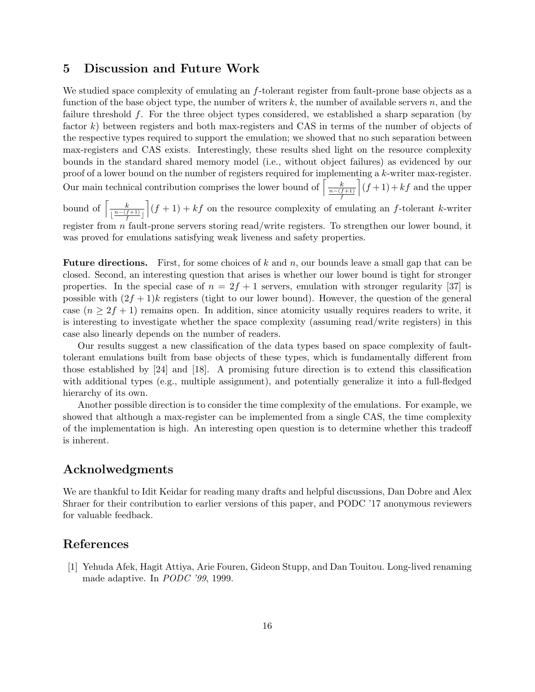### 5 Discussion and Future Work

We studied space complexity of emulating an f-tolerant register from fault-prone base objects as a function of the base object type, the number of writers  $k$ , the number of available servers  $n$ , and the failure threshold  $f$ . For the three object types considered, we established a sharp separation (by factor k) between registers and both max-registers and CAS in terms of the number of objects of the respective types required to support the emulation; we showed that no such separation between max-registers and CAS exists. Interestingly, these results shed light on the resource complexity bounds in the standard shared memory model (i.e., without object failures) as evidenced by our proof of a lower bound on the number of registers required for implementing a k-writer max-register. Our main technical contribution comprises the lower bound of  $\int \frac{k}{\frac{n-(f+1)}{f}}$  $\left[ (f+1) + kf$  and the upper

bound of  $\left[\frac{k}{n-(t)}\right]$  $\lfloor \frac{n-(f+1)}{f} \rfloor$  $\left( (f + 1) + kf$  on the resource complexity of emulating an f-tolerant k-writer register from  $n$  fault-prone servers storing read/write registers. To strengthen our lower bound, it was proved for emulations satisfying weak liveness and safety properties.

**Future directions.** First, for some choices of k and n, our bounds leave a small gap that can be closed. Second, an interesting question that arises is whether our lower bound is tight for stronger properties. In the special case of  $n = 2f + 1$  servers, emulation with stronger regularity [37] is possible with  $(2f + 1)k$  registers (tight to our lower bound). However, the question of the general case  $(n \geq 2f + 1)$  remains open. In addition, since atomicity usually requires readers to write, it is interesting to investigate whether the space complexity (assuming read/write registers) in this case also linearly depends on the number of readers.

Our results suggest a new classification of the data types based on space complexity of faulttolerant emulations built from base objects of these types, which is fundamentally different from those established by [24] and [18]. A promising future direction is to extend this classification with additional types (e.g., multiple assignment), and potentially generalize it into a full-fledged hierarchy of its own.

Another possible direction is to consider the time complexity of the emulations. For example, we showed that although a max-register can be implemented from a single CAS, the time complexity of the implementation is high. An interesting open question is to determine whether this tradeoff is inherent.

# Acknolwedgments

We are thankful to Idit Keidar for reading many drafts and helpful discussions, Dan Dobre and Alex Shraer for their contribution to earlier versions of this paper, and PODC '17 anonymous reviewers for valuable feedback.

# References

[1] Yehuda Afek, Hagit Attiya, Arie Fouren, Gideon Stupp, and Dan Touitou. Long-lived renaming made adaptive. In PODC '99, 1999.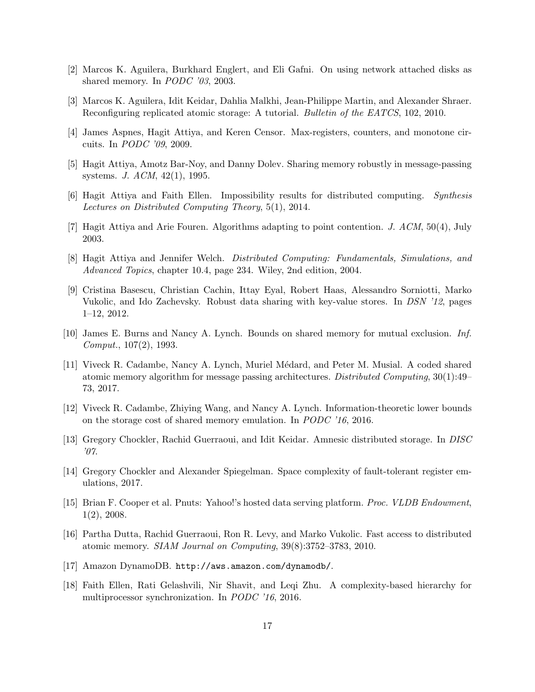- [2] Marcos K. Aguilera, Burkhard Englert, and Eli Gafni. On using network attached disks as shared memory. In *PODC* '03, 2003.
- [3] Marcos K. Aguilera, Idit Keidar, Dahlia Malkhi, Jean-Philippe Martin, and Alexander Shraer. Reconfiguring replicated atomic storage: A tutorial. Bulletin of the EATCS, 102, 2010.
- [4] James Aspnes, Hagit Attiya, and Keren Censor. Max-registers, counters, and monotone circuits. In PODC '09, 2009.
- [5] Hagit Attiya, Amotz Bar-Noy, and Danny Dolev. Sharing memory robustly in message-passing systems. J. ACM, 42(1), 1995.
- [6] Hagit Attiya and Faith Ellen. Impossibility results for distributed computing. Synthesis Lectures on Distributed Computing Theory, 5(1), 2014.
- [7] Hagit Attiya and Arie Fouren. Algorithms adapting to point contention. *J. ACM*,  $50(4)$ , July 2003.
- [8] Hagit Attiya and Jennifer Welch. Distributed Computing: Fundamentals, Simulations, and Advanced Topics, chapter 10.4, page 234. Wiley, 2nd edition, 2004.
- [9] Cristina Basescu, Christian Cachin, Ittay Eyal, Robert Haas, Alessandro Sorniotti, Marko Vukolic, and Ido Zachevsky. Robust data sharing with key-value stores. In DSN '12, pages 1–12, 2012.
- [10] James E. Burns and Nancy A. Lynch. Bounds on shared memory for mutual exclusion. Inf. Comput., 107(2), 1993.
- [11] Viveck R. Cadambe, Nancy A. Lynch, Muriel M´edard, and Peter M. Musial. A coded shared atomic memory algorithm for message passing architectures. Distributed Computing, 30(1):49– 73, 2017.
- [12] Viveck R. Cadambe, Zhiying Wang, and Nancy A. Lynch. Information-theoretic lower bounds on the storage cost of shared memory emulation. In PODC '16, 2016.
- [13] Gregory Chockler, Rachid Guerraoui, and Idit Keidar. Amnesic distributed storage. In DISC '07.
- [14] Gregory Chockler and Alexander Spiegelman. Space complexity of fault-tolerant register emulations, 2017.
- [15] Brian F. Cooper et al. Pnuts: Yahoo!'s hosted data serving platform. Proc. VLDB Endowment, 1(2), 2008.
- [16] Partha Dutta, Rachid Guerraoui, Ron R. Levy, and Marko Vukolic. Fast access to distributed atomic memory. SIAM Journal on Computing, 39(8):3752–3783, 2010.
- [17] Amazon DynamoDB. http://aws.amazon.com/dynamodb/.
- [18] Faith Ellen, Rati Gelashvili, Nir Shavit, and Leqi Zhu. A complexity-based hierarchy for multiprocessor synchronization. In PODC '16, 2016.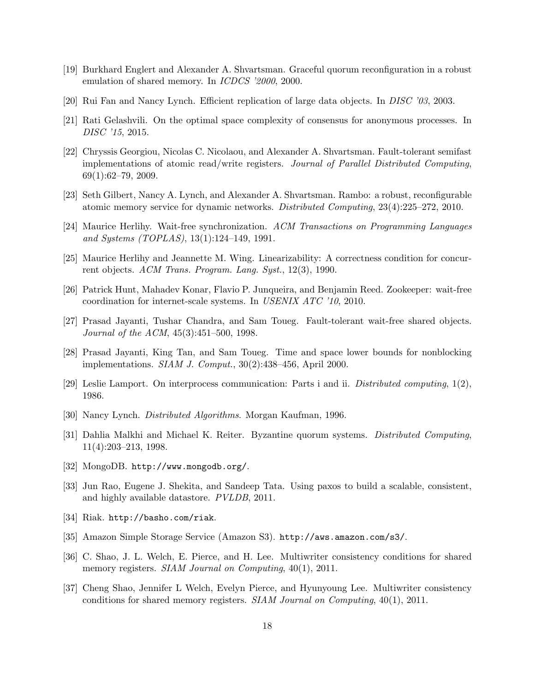- [19] Burkhard Englert and Alexander A. Shvartsman. Graceful quorum reconfiguration in a robust emulation of shared memory. In ICDCS '2000, 2000.
- [20] Rui Fan and Nancy Lynch. Efficient replication of large data objects. In DISC '03, 2003.
- [21] Rati Gelashvili. On the optimal space complexity of consensus for anonymous processes. In DISC '15, 2015.
- [22] Chryssis Georgiou, Nicolas C. Nicolaou, and Alexander A. Shvartsman. Fault-tolerant semifast implementations of atomic read/write registers. Journal of Parallel Distributed Computing, 69(1):62–79, 2009.
- [23] Seth Gilbert, Nancy A. Lynch, and Alexander A. Shvartsman. Rambo: a robust, reconfigurable atomic memory service for dynamic networks. Distributed Computing, 23(4):225–272, 2010.
- [24] Maurice Herlihy. Wait-free synchronization. ACM Transactions on Programming Languages and Systems (TOPLAS), 13(1):124–149, 1991.
- [25] Maurice Herlihy and Jeannette M. Wing. Linearizability: A correctness condition for concurrent objects. ACM Trans. Program. Lang. Syst., 12(3), 1990.
- [26] Patrick Hunt, Mahadev Konar, Flavio P. Junqueira, and Benjamin Reed. Zookeeper: wait-free coordination for internet-scale systems. In USENIX ATC '10, 2010.
- [27] Prasad Jayanti, Tushar Chandra, and Sam Toueg. Fault-tolerant wait-free shared objects. Journal of the ACM, 45(3):451–500, 1998.
- [28] Prasad Jayanti, King Tan, and Sam Toueg. Time and space lower bounds for nonblocking implementations. SIAM J. Comput., 30(2):438–456, April 2000.
- [29] Leslie Lamport. On interprocess communication: Parts i and ii. Distributed computing, 1(2), 1986.
- [30] Nancy Lynch. Distributed Algorithms. Morgan Kaufman, 1996.
- [31] Dahlia Malkhi and Michael K. Reiter. Byzantine quorum systems. Distributed Computing, 11(4):203–213, 1998.
- [32] MongoDB. http://www.mongodb.org/.
- [33] Jun Rao, Eugene J. Shekita, and Sandeep Tata. Using paxos to build a scalable, consistent, and highly available datastore. PVLDB, 2011.
- [34] Riak. http://basho.com/riak.
- [35] Amazon Simple Storage Service (Amazon S3). http://aws.amazon.com/s3/.
- [36] C. Shao, J. L. Welch, E. Pierce, and H. Lee. Multiwriter consistency conditions for shared memory registers. SIAM Journal on Computing, 40(1), 2011.
- [37] Cheng Shao, Jennifer L Welch, Evelyn Pierce, and Hyunyoung Lee. Multiwriter consistency conditions for shared memory registers. SIAM Journal on Computing, 40(1), 2011.